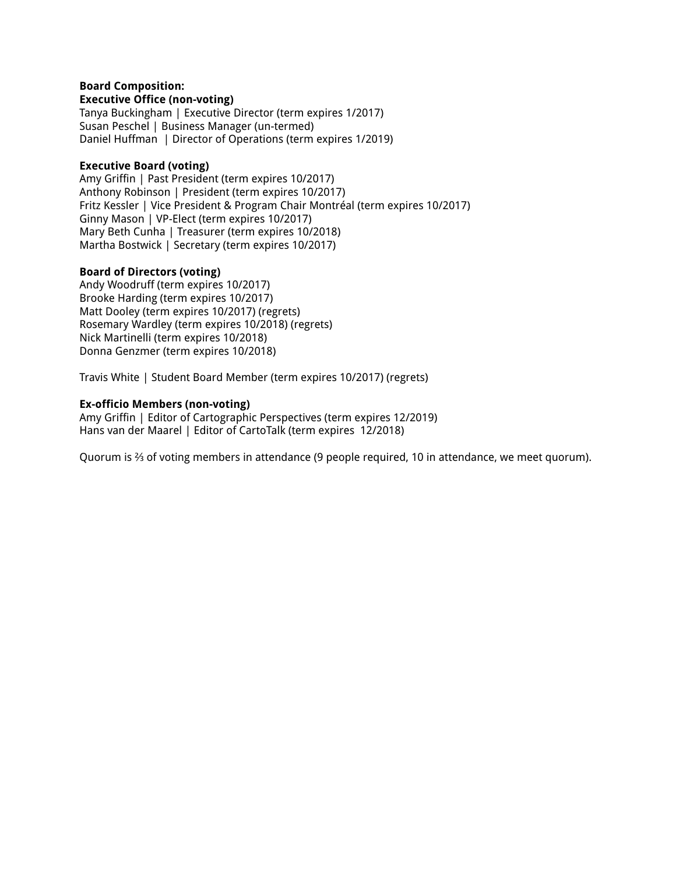#### **Board Composition: Executive Office (non-voting)**

Tanya Buckingham | Executive Director (term expires 1/2017) Susan Peschel | Business Manager (un-termed) Daniel Huffman | Director of Operations (term expires 1/2019)

#### **Executive Board (voting)**

Amy Griffin | Past President (term expires 10/2017) Anthony Robinson | President (term expires 10/2017) Fritz Kessler | Vice President & Program Chair Montréal (term expires 10/2017) Ginny Mason | VP-Elect (term expires 10/2017) Mary Beth Cunha | Treasurer (term expires 10/2018) Martha Bostwick | Secretary (term expires 10/2017)

#### **Board of Directors (voting)**

Andy Woodruff (term expires 10/2017) Brooke Harding (term expires 10/2017) Matt Dooley (term expires 10/2017) (regrets) Rosemary Wardley (term expires 10/2018) (regrets) Nick Martinelli (term expires 10/2018) Donna Genzmer (term expires 10/2018)

Travis White | Student Board Member (term expires 10/2017) (regrets)

#### **Ex-officio Members (non-voting)**

Amy Griffin | Editor of Cartographic Perspectives (term expires 12/2019) Hans van der Maarel | Editor of CartoTalk (term expires 12/2018)

Quorum is ⅔ of voting members in attendance (9 people required, 10 in attendance, we meet quorum).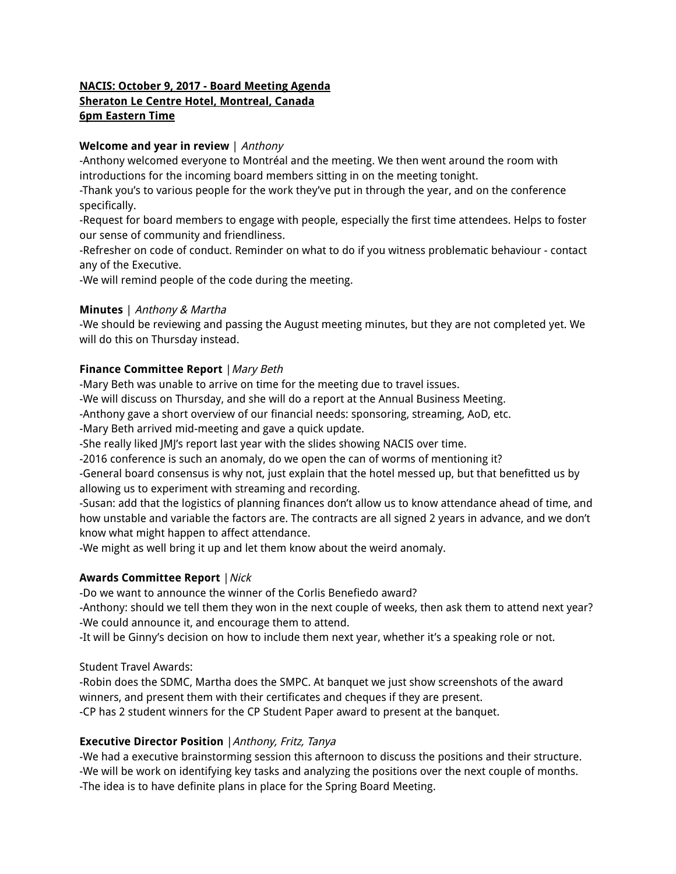# **NACIS: October 9, 2017 - Board Meeting Agenda Sheraton Le Centre Hotel, Montreal, Canada 6pm Eastern Time**

### **Welcome and year in review** | Anthony

-Anthony welcomed everyone to Montréal and the meeting. We then went around the room with introductions for the incoming board members sitting in on the meeting tonight.

-Thank you's to various people for the work they've put in through the year, and on the conference specifically.

-Request for board members to engage with people, especially the first time attendees. Helps to foster our sense of community and friendliness.

-Refresher on code of conduct. Reminder on what to do if you witness problematic behaviour - contact any of the Executive.

-We will remind people of the code during the meeting.

#### **Minutes** | Anthony & Martha

-We should be reviewing and passing the August meeting minutes, but they are not completed yet. We will do this on Thursday instead.

#### **Finance Committee Report** |Mary Beth

-Mary Beth was unable to arrive on time for the meeting due to travel issues.

-We will discuss on Thursday, and she will do a report at the Annual Business Meeting.

-Anthony gave a short overview of our financial needs: sponsoring, streaming, AoD, etc.

-Mary Beth arrived mid-meeting and gave a quick update.

-She really liked JMJ's report last year with the slides showing NACIS over time.

-2016 conference is such an anomaly, do we open the can of worms of mentioning it?

-General board consensus is why not, just explain that the hotel messed up, but that benefitted us by allowing us to experiment with streaming and recording.

-Susan: add that the logistics of planning finances don't allow us to know attendance ahead of time, and how unstable and variable the factors are. The contracts are all signed 2 years in advance, and we don't know what might happen to affect attendance.

-We might as well bring it up and let them know about the weird anomaly.

## **Awards Committee Report** | Nick

-Do we want to announce the winner of the Corlis Benefiedo award?

-Anthony: should we tell them they won in the next couple of weeks, then ask them to attend next year? -We could announce it, and encourage them to attend.

-It will be Ginny's decision on how to include them next year, whether it's a speaking role or not.

Student Travel Awards:

-Robin does the SDMC, Martha does the SMPC. At banquet we just show screenshots of the award winners, and present them with their certificates and cheques if they are present. -CP has 2 student winners for the CP Student Paper award to present at the banquet.

## **Executive Director Position** |Anthony, Fritz, Tanya

-We had a executive brainstorming session this afternoon to discuss the positions and their structure. -We will be work on identifying key tasks and analyzing the positions over the next couple of months. -The idea is to have definite plans in place for the Spring Board Meeting.